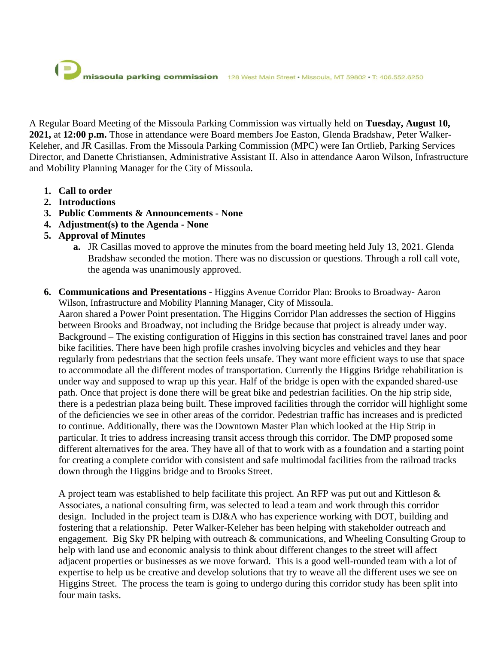A Regular Board Meeting of the Missoula Parking Commission was virtually held on **Tuesday, August 10, 2021,** at **12:00 p.m.** Those in attendance were Board members Joe Easton, Glenda Bradshaw, Peter Walker-Keleher, and JR Casillas. From the Missoula Parking Commission (MPC) were Ian Ortlieb, Parking Services Director, and Danette Christiansen, Administrative Assistant II. Also in attendance Aaron Wilson, Infrastructure and Mobility Planning Manager for the City of Missoula.

- **1. Call to order**
- **2. Introductions**
- **3. Public Comments & Announcements - None**
- **4. Adjustment(s) to the Agenda - None**
- **5. Approval of Minutes**
	- **a.** JR Casillas moved to approve the minutes from the board meeting held July 13, 2021. Glenda Bradshaw seconded the motion. There was no discussion or questions. Through a roll call vote, the agenda was unanimously approved.
- **6. Communications and Presentations -** Higgins Avenue Corridor Plan: Brooks to Broadway- Aaron Wilson, Infrastructure and Mobility Planning Manager, City of Missoula.

Aaron shared a Power Point presentation. The Higgins Corridor Plan addresses the section of Higgins between Brooks and Broadway, not including the Bridge because that project is already under way. Background – The existing configuration of Higgins in this section has constrained travel lanes and poor bike facilities. There have been high profile crashes involving bicycles and vehicles and they hear regularly from pedestrians that the section feels unsafe. They want more efficient ways to use that space to accommodate all the different modes of transportation. Currently the Higgins Bridge rehabilitation is under way and supposed to wrap up this year. Half of the bridge is open with the expanded shared-use path. Once that project is done there will be great bike and pedestrian facilities. On the hip strip side, there is a pedestrian plaza being built. These improved facilities through the corridor will highlight some of the deficiencies we see in other areas of the corridor. Pedestrian traffic has increases and is predicted to continue. Additionally, there was the Downtown Master Plan which looked at the Hip Strip in particular. It tries to address increasing transit access through this corridor. The DMP proposed some different alternatives for the area. They have all of that to work with as a foundation and a starting point for creating a complete corridor with consistent and safe multimodal facilities from the railroad tracks down through the Higgins bridge and to Brooks Street.

A project team was established to help facilitate this project. An RFP was put out and Kittleson & Associates, a national consulting firm, was selected to lead a team and work through this corridor design. Included in the project team is DJ&A who has experience working with DOT, building and fostering that a relationship. Peter Walker-Keleher has been helping with stakeholder outreach and engagement. Big Sky PR helping with outreach & communications, and Wheeling Consulting Group to help with land use and economic analysis to think about different changes to the street will affect adjacent properties or businesses as we move forward. This is a good well-rounded team with a lot of expertise to help us be creative and develop solutions that try to weave all the different uses we see on Higgins Street. The process the team is going to undergo during this corridor study has been split into four main tasks.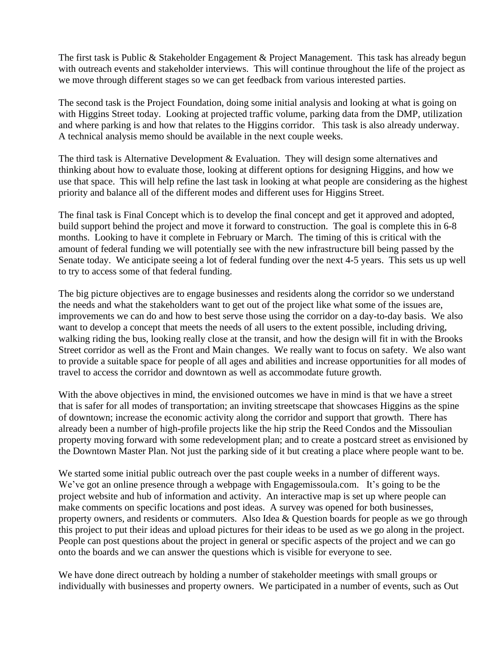The first task is Public & Stakeholder Engagement & Project Management. This task has already begun with outreach events and stakeholder interviews. This will continue throughout the life of the project as we move through different stages so we can get feedback from various interested parties.

The second task is the Project Foundation, doing some initial analysis and looking at what is going on with Higgins Street today. Looking at projected traffic volume, parking data from the DMP, utilization and where parking is and how that relates to the Higgins corridor. This task is also already underway. A technical analysis memo should be available in the next couple weeks.

The third task is Alternative Development & Evaluation. They will design some alternatives and thinking about how to evaluate those, looking at different options for designing Higgins, and how we use that space. This will help refine the last task in looking at what people are considering as the highest priority and balance all of the different modes and different uses for Higgins Street.

The final task is Final Concept which is to develop the final concept and get it approved and adopted, build support behind the project and move it forward to construction. The goal is complete this in 6-8 months. Looking to have it complete in February or March. The timing of this is critical with the amount of federal funding we will potentially see with the new infrastructure bill being passed by the Senate today. We anticipate seeing a lot of federal funding over the next 4-5 years. This sets us up well to try to access some of that federal funding.

The big picture objectives are to engage businesses and residents along the corridor so we understand the needs and what the stakeholders want to get out of the project like what some of the issues are, improvements we can do and how to best serve those using the corridor on a day-to-day basis. We also want to develop a concept that meets the needs of all users to the extent possible, including driving, walking riding the bus, looking really close at the transit, and how the design will fit in with the Brooks Street corridor as well as the Front and Main changes. We really want to focus on safety. We also want to provide a suitable space for people of all ages and abilities and increase opportunities for all modes of travel to access the corridor and downtown as well as accommodate future growth.

With the above objectives in mind, the envisioned outcomes we have in mind is that we have a street that is safer for all modes of transportation; an inviting streetscape that showcases Higgins as the spine of downtown; increase the economic activity along the corridor and support that growth. There has already been a number of high-profile projects like the hip strip the Reed Condos and the Missoulian property moving forward with some redevelopment plan; and to create a postcard street as envisioned by the Downtown Master Plan. Not just the parking side of it but creating a place where people want to be.

We started some initial public outreach over the past couple weeks in a number of different ways. We've got an online presence through a webpage with Engagemissoula.com. It's going to be the project website and hub of information and activity. An interactive map is set up where people can make comments on specific locations and post ideas. A survey was opened for both businesses, property owners, and residents or commuters. Also Idea & Question boards for people as we go through this project to put their ideas and upload pictures for their ideas to be used as we go along in the project. People can post questions about the project in general or specific aspects of the project and we can go onto the boards and we can answer the questions which is visible for everyone to see.

We have done direct outreach by holding a number of stakeholder meetings with small groups or individually with businesses and property owners. We participated in a number of events, such as Out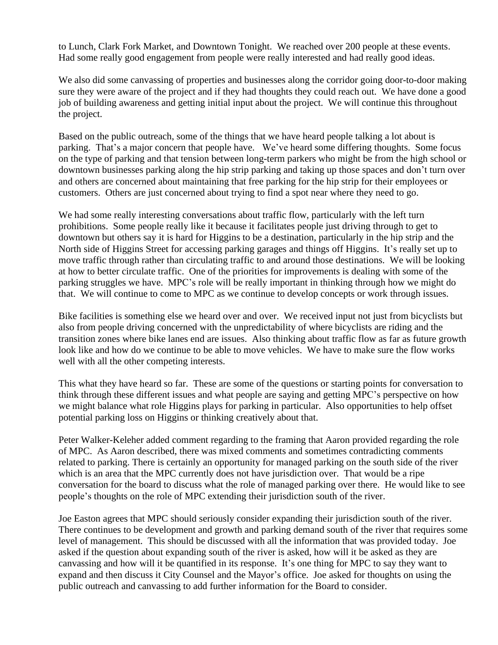to Lunch, Clark Fork Market, and Downtown Tonight. We reached over 200 people at these events. Had some really good engagement from people were really interested and had really good ideas.

We also did some canvassing of properties and businesses along the corridor going door-to-door making sure they were aware of the project and if they had thoughts they could reach out. We have done a good job of building awareness and getting initial input about the project. We will continue this throughout the project.

Based on the public outreach, some of the things that we have heard people talking a lot about is parking. That's a major concern that people have. We've heard some differing thoughts. Some focus on the type of parking and that tension between long-term parkers who might be from the high school or downtown businesses parking along the hip strip parking and taking up those spaces and don't turn over and others are concerned about maintaining that free parking for the hip strip for their employees or customers. Others are just concerned about trying to find a spot near where they need to go.

We had some really interesting conversations about traffic flow, particularly with the left turn prohibitions. Some people really like it because it facilitates people just driving through to get to downtown but others say it is hard for Higgins to be a destination, particularly in the hip strip and the North side of Higgins Street for accessing parking garages and things off Higgins. It's really set up to move traffic through rather than circulating traffic to and around those destinations. We will be looking at how to better circulate traffic. One of the priorities for improvements is dealing with some of the parking struggles we have. MPC's role will be really important in thinking through how we might do that. We will continue to come to MPC as we continue to develop concepts or work through issues.

Bike facilities is something else we heard over and over. We received input not just from bicyclists but also from people driving concerned with the unpredictability of where bicyclists are riding and the transition zones where bike lanes end are issues. Also thinking about traffic flow as far as future growth look like and how do we continue to be able to move vehicles. We have to make sure the flow works well with all the other competing interests.

This what they have heard so far. These are some of the questions or starting points for conversation to think through these different issues and what people are saying and getting MPC's perspective on how we might balance what role Higgins plays for parking in particular. Also opportunities to help offset potential parking loss on Higgins or thinking creatively about that.

Peter Walker-Keleher added comment regarding to the framing that Aaron provided regarding the role of MPC. As Aaron described, there was mixed comments and sometimes contradicting comments related to parking. There is certainly an opportunity for managed parking on the south side of the river which is an area that the MPC currently does not have jurisdiction over. That would be a ripe conversation for the board to discuss what the role of managed parking over there. He would like to see people's thoughts on the role of MPC extending their jurisdiction south of the river.

Joe Easton agrees that MPC should seriously consider expanding their jurisdiction south of the river. There continues to be development and growth and parking demand south of the river that requires some level of management. This should be discussed with all the information that was provided today. Joe asked if the question about expanding south of the river is asked, how will it be asked as they are canvassing and how will it be quantified in its response. It's one thing for MPC to say they want to expand and then discuss it City Counsel and the Mayor's office. Joe asked for thoughts on using the public outreach and canvassing to add further information for the Board to consider.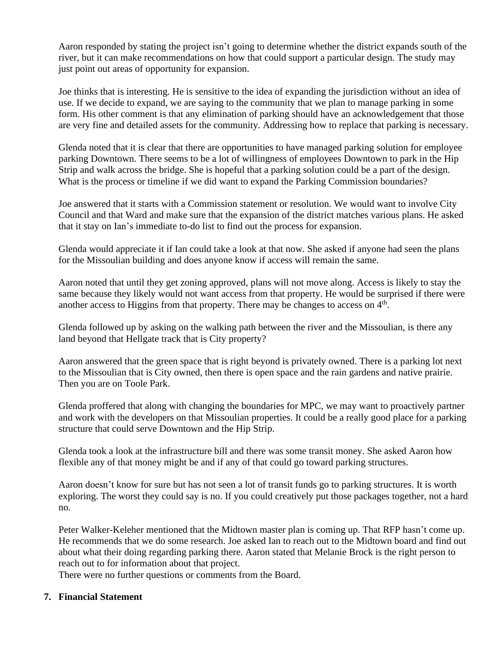Aaron responded by stating the project isn't going to determine whether the district expands south of the river, but it can make recommendations on how that could support a particular design. The study may just point out areas of opportunity for expansion.

Joe thinks that is interesting. He is sensitive to the idea of expanding the jurisdiction without an idea of use. If we decide to expand, we are saying to the community that we plan to manage parking in some form. His other comment is that any elimination of parking should have an acknowledgement that those are very fine and detailed assets for the community. Addressing how to replace that parking is necessary.

Glenda noted that it is clear that there are opportunities to have managed parking solution for employee parking Downtown. There seems to be a lot of willingness of employees Downtown to park in the Hip Strip and walk across the bridge. She is hopeful that a parking solution could be a part of the design. What is the process or timeline if we did want to expand the Parking Commission boundaries?

Joe answered that it starts with a Commission statement or resolution. We would want to involve City Council and that Ward and make sure that the expansion of the district matches various plans. He asked that it stay on Ian's immediate to-do list to find out the process for expansion.

Glenda would appreciate it if Ian could take a look at that now. She asked if anyone had seen the plans for the Missoulian building and does anyone know if access will remain the same.

Aaron noted that until they get zoning approved, plans will not move along. Access is likely to stay the same because they likely would not want access from that property. He would be surprised if there were another access to Higgins from that property. There may be changes to access on  $4<sup>th</sup>$ .

Glenda followed up by asking on the walking path between the river and the Missoulian, is there any land beyond that Hellgate track that is City property?

Aaron answered that the green space that is right beyond is privately owned. There is a parking lot next to the Missoulian that is City owned, then there is open space and the rain gardens and native prairie. Then you are on Toole Park.

Glenda proffered that along with changing the boundaries for MPC, we may want to proactively partner and work with the developers on that Missoulian properties. It could be a really good place for a parking structure that could serve Downtown and the Hip Strip.

Glenda took a look at the infrastructure bill and there was some transit money. She asked Aaron how flexible any of that money might be and if any of that could go toward parking structures.

Aaron doesn't know for sure but has not seen a lot of transit funds go to parking structures. It is worth exploring. The worst they could say is no. If you could creatively put those packages together, not a hard no.

Peter Walker-Keleher mentioned that the Midtown master plan is coming up. That RFP hasn't come up. He recommends that we do some research. Joe asked Ian to reach out to the Midtown board and find out about what their doing regarding parking there. Aaron stated that Melanie Brock is the right person to reach out to for information about that project.

There were no further questions or comments from the Board.

## **7. Financial Statement**